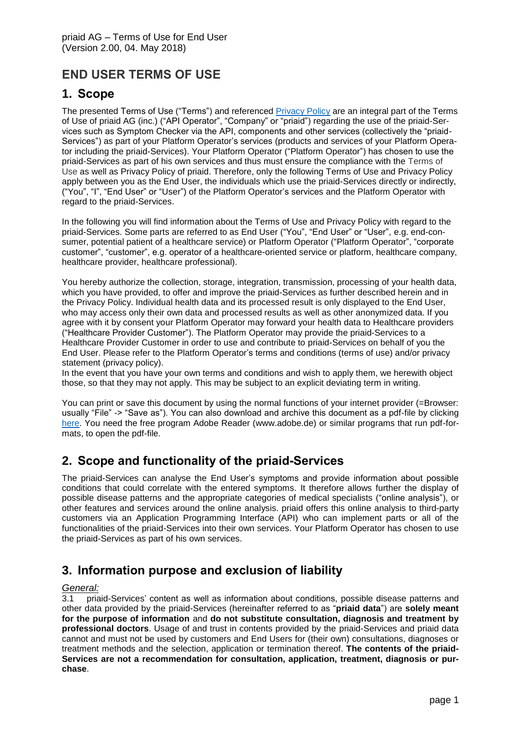# **END USER TERMS OF USE**

### **1. Scope**

The presented Terms of Use ("Terms") and referenced [Privacy Policy](http://apimedic.net/resources/enduser_priaid_privacy.pdf) are an integral part of the Terms of Use of priaid AG (inc.) ("API Operator", "Company" or "priaid") regarding the use of the priaid-Services such as Symptom Checker via the API, components and other services (collectively the "priaid-Services") as part of your Platform Operator's services (products and services of your Platform Operator including the priaid-Services). Your Platform Operator ("Platform Operator") has chosen to use the priaid-Services as part of his own services and thus must ensure the compliance with the Terms of Use as well as Privacy Policy of priaid. Therefore, only the following Terms of Use and Privacy Policy apply between you as the End User, the individuals which use the priaid-Services directly or indirectly, ("You", "I", "End User" or "User") of the Platform Operator's services and the Platform Operator with regard to the priaid-Services.

In the following you will find information about the Terms of Use and Privacy Policy with regard to the priaid-Services. Some parts are referred to as End User ("You", "End User" or "User", e.g. end-consumer, potential patient of a healthcare service) or Platform Operator ("Platform Operator", "corporate customer", "customer", e.g. operator of a healthcare-oriented service or platform, healthcare company, healthcare provider, healthcare professional).

You hereby authorize the collection, storage, integration, transmission, processing of your health data, which you have provided, to offer and improve the priaid-Services as further described herein and in the Privacy Policy. Individual health data and its processed result is only displayed to the End User, who may access only their own data and processed results as well as other anonymized data. If you agree with it by consent your Platform Operator may forward your health data to Healthcare providers ("Healthcare Provider Customer"). The Platform Operator may provide the priaid-Services to a Healthcare Provider Customer in order to use and contribute to priaid-Services on behalf of you the End User. Please refer to the Platform Operator's terms and conditions (terms of use) and/or privacy statement (privacy policy).

In the event that you have your own terms and conditions and wish to apply them, we herewith object those, so that they may not apply. This may be subject to an explicit deviating term in writing.

You can print or save this document by using the normal functions of your internet provider (=Browser: usually "File" -> "Save as"). You can also download and archive this document as a pdf-file by clicking [here.](http://apimedic.net/resources/enduser_priaid_terms.pdf) You need the free program Adobe Reader (www.adobe.de) or similar programs that run pdf-formats, to open the pdf-file.

# **2. Scope and functionality of the priaid-Services**

The priaid-Services can analyse the End User's symptoms and provide information about possible conditions that could correlate with the entered symptoms. It therefore allows further the display of possible disease patterns and the appropriate categories of medical specialists ("online analysis"), or other features and services around the online analysis. priaid offers this online analysis to third-party customers via an Application Programming Interface (API) who can implement parts or all of the functionalities of the priaid-Services into their own services. Your Platform Operator has chosen to use the priaid-Services as part of his own services.

# **3. Information purpose and exclusion of liability**

#### *General:*

3.1 priaid-Services' content as well as information about conditions, possible disease patterns and other data provided by the priaid-Services (hereinafter referred to as "**priaid data**") are **solely meant for the purpose of information** and **do not substitute consultation, diagnosis and treatment by professional doctors**. Usage of and trust in contents provided by the priaid-Services and priaid data cannot and must not be used by customers and End Users for (their own) consultations, diagnoses or treatment methods and the selection, application or termination thereof. **The contents of the priaid-Services are not a recommendation for consultation, application, treatment, diagnosis or purchase**.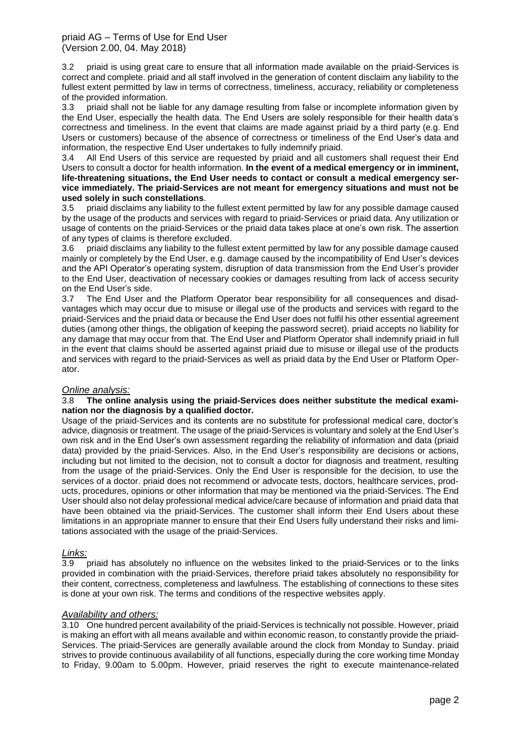priaid AG – Terms of Use for End User (Version 2.00, 04. May 2018)

3.2 priaid is using great care to ensure that all information made available on the priaid-Services is correct and complete. priaid and all staff involved in the generation of content disclaim any liability to the fullest extent permitted by law in terms of correctness, timeliness, accuracy, reliability or completeness of the provided information.

3.3 priaid shall not be liable for any damage resulting from false or incomplete information given by the End User, especially the health data. The End Users are solely responsible for their health data's correctness and timeliness. In the event that claims are made against priaid by a third party (e.g. End Users or customers) because of the absence of correctness or timeliness of the End User's data and information, the respective End User undertakes to fully indemnify priaid.

3.4 All End Users of this service are requested by priaid and all customers shall request their End Users to consult a doctor for health information. **In the event of a medical emergency or in imminent, life-threatening situations, the End User needs to contact or consult a medical emergency service immediately. The priaid-Services are not meant for emergency situations and must not be used solely in such constellations**.

3.5 priaid disclaims any liability to the fullest extent permitted by law for any possible damage caused by the usage of the products and services with regard to priaid-Services or priaid data. Any utilization or usage of contents on the priaid-Services or the priaid data takes place at one's own risk. The assertion of any types of claims is therefore excluded.

3.6 priaid disclaims any liability to the fullest extent permitted by law for any possible damage caused mainly or completely by the End User, e.g. damage caused by the incompatibility of End User's devices and the API Operator's operating system, disruption of data transmission from the End User's provider to the End User, deactivation of necessary cookies or damages resulting from lack of access security on the End User's side.

3.7 The End User and the Platform Operator bear responsibility for all consequences and disadvantages which may occur due to misuse or illegal use of the products and services with regard to the priaid-Services and the priaid data or because the End User does not fulfil his other essential agreement duties (among other things, the obligation of keeping the password secret). priaid accepts no liability for any damage that may occur from that. The End User and Platform Operator shall indemnify priaid in full in the event that claims should be asserted against priaid due to misuse or illegal use of the products and services with regard to the priaid-Services as well as priaid data by the End User or Platform Operator.

#### *Online analysis:*

#### 3.8 **The online analysis using the priaid-Services does neither substitute the medical examination nor the diagnosis by a qualified doctor.**

Usage of the priaid-Services and its contents are no substitute for professional medical care, doctor's advice, diagnosis or treatment. The usage of the priaid-Services is voluntary and solely at the End User's own risk and in the End User's own assessment regarding the reliability of information and data (priaid data) provided by the priaid-Services. Also, in the End User's responsibility are decisions or actions, including but not limited to the decision, not to consult a doctor for diagnosis and treatment, resulting from the usage of the priaid-Services. Only the End User is responsible for the decision, to use the services of a doctor. priaid does not recommend or advocate tests, doctors, healthcare services, products, procedures, opinions or other information that may be mentioned via the priaid-Services. The End User should also not delay professional medical advice/care because of information and priaid data that have been obtained via the priaid-Services. The customer shall inform their End Users about these limitations in an appropriate manner to ensure that their End Users fully understand their risks and limitations associated with the usage of the priaid-Services.

#### *Links:*

3.9 priaid has absolutely no influence on the websites linked to the priaid-Services or to the links provided in combination with the priaid-Services, therefore priaid takes absolutely no responsibility for their content, correctness, completeness and lawfulness. The establishing of connections to these sites is done at your own risk. The terms and conditions of the respective websites apply.

#### *Availability and others:*

3.10 One hundred percent availability of the priaid-Services is technically not possible. However, priaid is making an effort with all means available and within economic reason, to constantly provide the priaid-Services. The priaid-Services are generally available around the clock from Monday to Sunday. priaid strives to provide continuous availability of all functions, especially during the core working time Monday to Friday, 9.00am to 5.00pm. However, priaid reserves the right to execute maintenance-related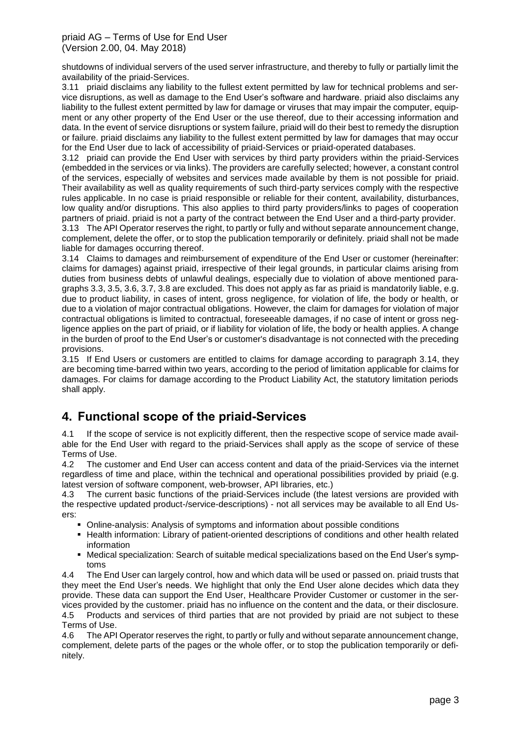#### priaid AG – Terms of Use for End User (Version 2.00, 04. May 2018)

shutdowns of individual servers of the used server infrastructure, and thereby to fully or partially limit the availability of the priaid-Services.

3.11 priaid disclaims any liability to the fullest extent permitted by law for technical problems and service disruptions, as well as damage to the End User's software and hardware. priaid also disclaims any liability to the fullest extent permitted by law for damage or viruses that may impair the computer, equipment or any other property of the End User or the use thereof, due to their accessing information and data. In the event of service disruptions or system failure, priaid will do their best to remedy the disruption or failure. priaid disclaims any liability to the fullest extent permitted by law for damages that may occur for the End User due to lack of accessibility of priaid-Services or priaid-operated databases.

3.12 priaid can provide the End User with services by third party providers within the priaid-Services (embedded in the services or via links). The providers are carefully selected; however, a constant control of the services, especially of websites and services made available by them is not possible for priaid. Their availability as well as quality requirements of such third-party services comply with the respective rules applicable. In no case is priaid responsible or reliable for their content, availability, disturbances, low quality and/or disruptions. This also applies to third party providers/links to pages of cooperation partners of priaid. priaid is not a party of the contract between the End User and a third-party provider.

3.13 The API Operator reserves the right, to partly or fully and without separate announcement change, complement, delete the offer, or to stop the publication temporarily or definitely. priaid shall not be made liable for damages occurring thereof.

3.14 Claims to damages and reimbursement of expenditure of the End User or customer (hereinafter: claims for damages) against priaid, irrespective of their legal grounds, in particular claims arising from duties from business debts of unlawful dealings, especially due to violation of above mentioned paragraphs 3.3, 3.5, 3.6, 3.7, 3.8 are excluded. This does not apply as far as priaid is mandatorily liable, e.g. due to product liability, in cases of intent, gross negligence, for violation of life, the body or health, or due to a violation of major contractual obligations. However, the claim for damages for violation of major contractual obligations is limited to contractual, foreseeable damages, if no case of intent or gross negligence applies on the part of priaid, or if liability for violation of life, the body or health applies. A change in the burden of proof to the End User's or customer's disadvantage is not connected with the preceding provisions.

3.15 If End Users or customers are entitled to claims for damage according to paragraph 3.14, they are becoming time-barred within two years, according to the period of limitation applicable for claims for damages. For claims for damage according to the Product Liability Act, the statutory limitation periods shall apply.

# **4. Functional scope of the priaid-Services**

4.1 If the scope of service is not explicitly different, then the respective scope of service made available for the End User with regard to the priaid-Services shall apply as the scope of service of these Terms of Use.

4.2 The customer and End User can access content and data of the priaid-Services via the internet regardless of time and place, within the technical and operational possibilities provided by priaid (e.g. latest version of software component, web-browser, API libraries, etc.)

4.3 The current basic functions of the priaid-Services include (the latest versions are provided with the respective updated product-/service-descriptions) - not all services may be available to all End Users:

- Online-analysis: Analysis of symptoms and information about possible conditions
- Health information: Library of patient-oriented descriptions of conditions and other health related information
- Medical specialization: Search of suitable medical specializations based on the End User's symptoms

4.4 The End User can largely control, how and which data will be used or passed on. priaid trusts that they meet the End User's needs. We highlight that only the End User alone decides which data they provide. These data can support the End User, Healthcare Provider Customer or customer in the services provided by the customer. priaid has no influence on the content and the data, or their disclosure. 4.5 Products and services of third parties that are not provided by priaid are not subject to these Terms of Use.

4.6 The API Operator reserves the right, to partly or fully and without separate announcement change, complement, delete parts of the pages or the whole offer, or to stop the publication temporarily or definitely.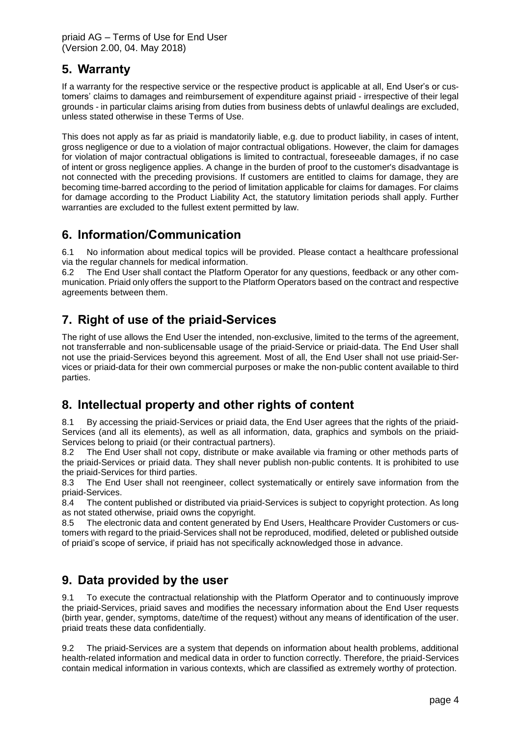# **5. Warranty**

If a warranty for the respective service or the respective product is applicable at all, End User's or customers' claims to damages and reimbursement of expenditure against priaid - irrespective of their legal grounds - in particular claims arising from duties from business debts of unlawful dealings are excluded, unless stated otherwise in these Terms of Use.

This does not apply as far as priaid is mandatorily liable, e.g. due to product liability, in cases of intent, gross negligence or due to a violation of major contractual obligations. However, the claim for damages for violation of major contractual obligations is limited to contractual, foreseeable damages, if no case of intent or gross negligence applies. A change in the burden of proof to the customer's disadvantage is not connected with the preceding provisions. If customers are entitled to claims for damage, they are becoming time-barred according to the period of limitation applicable for claims for damages. For claims for damage according to the Product Liability Act, the statutory limitation periods shall apply. Further warranties are excluded to the fullest extent permitted by law.

### **6. Information/Communication**

6.1 No information about medical topics will be provided. Please contact a healthcare professional via the regular channels for medical information.

6.2 The End User shall contact the Platform Operator for any questions, feedback or any other communication. Priaid only offers the support to the Platform Operators based on the contract and respective agreements between them.

# **7. Right of use of the priaid-Services**

The right of use allows the End User the intended, non-exclusive, limited to the terms of the agreement, not transferrable and non-sublicensable usage of the priaid-Service or priaid-data. The End User shall not use the priaid-Services beyond this agreement. Most of all, the End User shall not use priaid-Services or priaid-data for their own commercial purposes or make the non-public content available to third parties.

# **8. Intellectual property and other rights of content**

8.1 By accessing the priaid-Services or priaid data, the End User agrees that the rights of the priaid-Services (and all its elements), as well as all information, data, graphics and symbols on the priaid-Services belong to priaid (or their contractual partners).

8.2 The End User shall not copy, distribute or make available via framing or other methods parts of the priaid-Services or priaid data. They shall never publish non-public contents. It is prohibited to use the priaid-Services for third parties.

8.3 The End User shall not reengineer, collect systematically or entirely save information from the priaid-Services.

8.4 The content published or distributed via priaid-Services is subject to copyright protection. As long as not stated otherwise, priaid owns the copyright.

8.5 The electronic data and content generated by End Users, Healthcare Provider Customers or customers with regard to the priaid-Services shall not be reproduced, modified, deleted or published outside of priaid's scope of service, if priaid has not specifically acknowledged those in advance.

### <span id="page-3-0"></span>**9. Data provided by the user**

9.1 To execute the contractual relationship with the Platform Operator and to continuously improve the priaid-Services, priaid saves and modifies the necessary information about the End User requests (birth year, gender, symptoms, date/time of the request) without any means of identification of the user. priaid treats these data confidentially.

9.2 The priaid-Services are a system that depends on information about health problems, additional health-related information and medical data in order to function correctly. Therefore, the priaid-Services contain medical information in various contexts, which are classified as extremely worthy of protection.